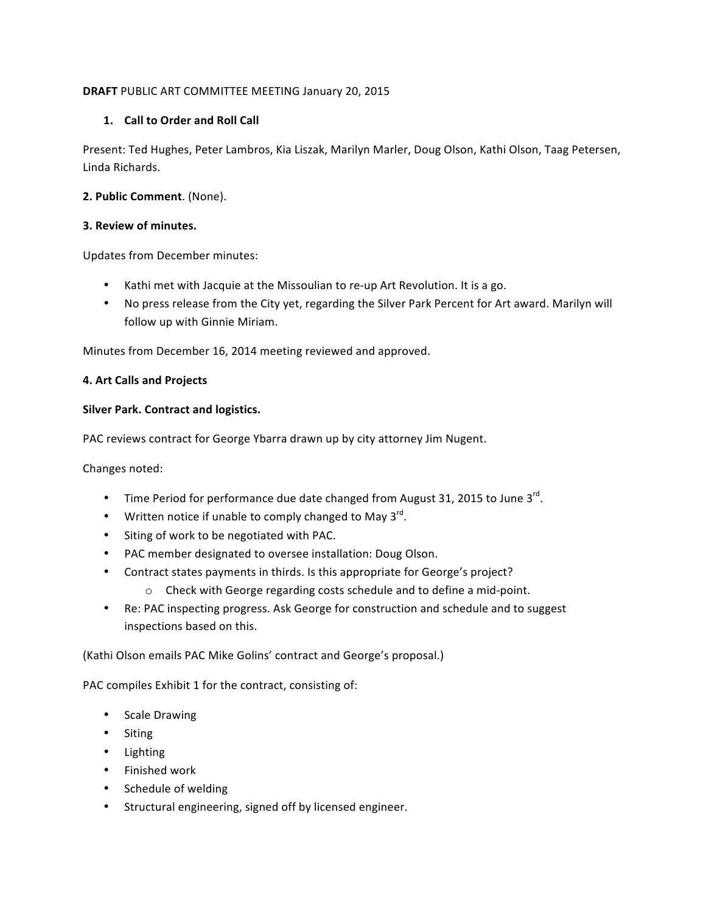# **DRAFT** PUBLIC ART COMMITTEE MEETING January 20, 2015

# 1. **Call to Order and Roll Call**

Present: Ted Hughes, Peter Lambros, Kia Liszak, Marilyn Marler, Doug Olson, Kathi Olson, Taag Petersen, Linda Richards.

# 2. Public Comment. (None).

## **3. Review of minutes.**

Updates from December minutes:

- Kathi met with Jacquie at the Missoulian to re-up Art Revolution. It is a go.
- No press release from the City yet, regarding the Silver Park Percent for Art award. Marilyn will follow up with Ginnie Miriam.

Minutes from December 16, 2014 meeting reviewed and approved.

### **4. Art Calls and Projects**

### **Silver Park. Contract and logistics.**

PAC reviews contract for George Ybarra drawn up by city attorney Jim Nugent.

Changes noted:

- Time Period for performance due date changed from August 31, 2015 to June  $3^{rd}$ .
- Written notice if unable to comply changed to May  $3^{\text{rd}}$ .
- Siting of work to be negotiated with PAC.
- PAC member designated to oversee installation: Doug Olson.
- Contract states payments in thirds. Is this appropriate for George's project?
	- o Check with George regarding costs schedule and to define a mid-point.
- Re: PAC inspecting progress. Ask George for construction and schedule and to suggest inspections based on this.

(Kathi Olson emails PAC Mike Golins' contract and George's proposal.)

PAC compiles Exhibit 1 for the contract, consisting of:

- Scale Drawing
- Siting
- Lighting
- Finished work
- Schedule of welding
- Structural engineering, signed off by licensed engineer.